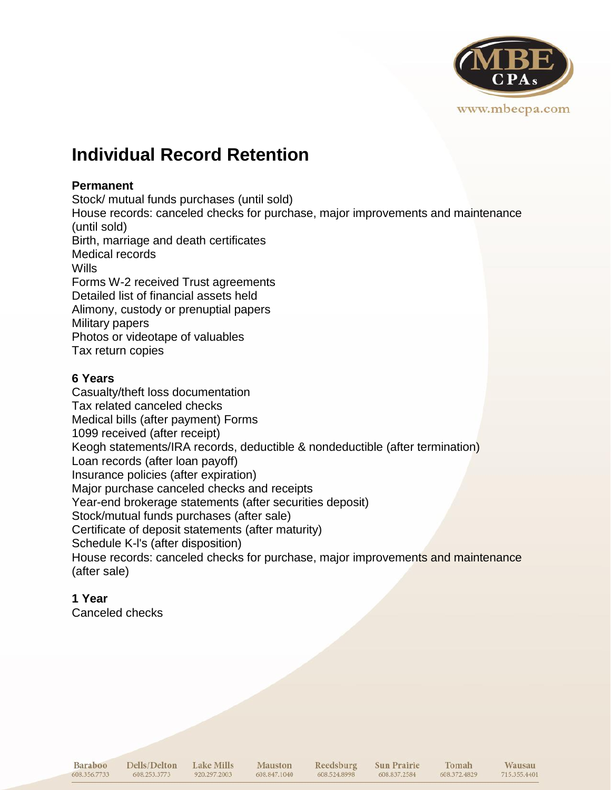

# **Individual Record Retention**

### **Permanent**

Stock/ mutual funds purchases (until sold) House records: canceled checks for purchase, major improvements and maintenance (until sold) Birth, marriage and death certificates Medical records Wills Forms W-2 received Trust agreements Detailed list of financial assets held Alimony, custody or prenuptial papers Military papers Photos or videotape of valuables Tax return copies

## **6 Years**

Casualty/theft loss documentation Tax related canceled checks Medical bills (after payment) Forms 1099 received (after receipt) Keogh statements/IRA records, deductible & nondeductible (after termination) Loan records (after loan payoff) Insurance policies (after expiration) Major purchase canceled checks and receipts Year-end brokerage statements (after securities deposit) Stock/mutual funds purchases (after sale) Certificate of deposit statements (after maturity) Schedule K-l's (after disposition) House records: canceled checks for purchase, major improvements and maintenance (after sale)

# **1 Year**

Canceled checks

Baraboo 608.356.7733 Dells/Delton Lake Mills 608.253.3773

**Mauston** 920.297.2003 608.847.1040

Reedsburg 608.524.8998

Sun Prairie 608.837.2584

Tomah 608.372.4829

Wausau

715.355.4401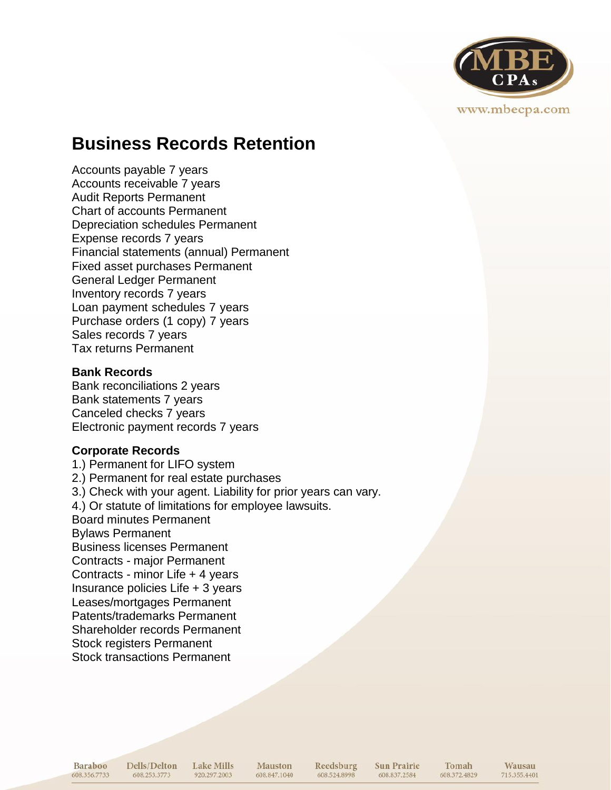

# **Business Records Retention**

Accounts payable 7 years Accounts receivable 7 years Audit Reports Permanent Chart of accounts Permanent Depreciation schedules Permanent Expense records 7 years Financial statements (annual) Permanent Fixed asset purchases Permanent General Ledger Permanent Inventory records 7 years Loan payment schedules 7 years Purchase orders (1 copy) 7 years Sales records 7 years Tax returns Permanent

#### **Bank Records**

Bank reconciliations 2 years Bank statements 7 years Canceled checks 7 years Electronic payment records 7 years

### **Corporate Records**

1.) Permanent for LIFO system 2.) Permanent for real estate purchases 3.) Check with your agent. Liability for prior years can vary. 4.) Or statute of limitations for employee lawsuits. Board minutes Permanent Bylaws Permanent Business licenses Permanent Contracts - major Permanent Contracts - minor Life + 4 years Insurance policies Life + 3 years Leases/mortgages Permanent Patents/trademarks Permanent Shareholder records Permanent Stock registers Permanent Stock transactions Permanent

**Baraboo** 608.356.7733 Dells/Delton Lake Mills 608.253.3773 920.297.2003

Mauston 608.847.1040

Reedsburg 608.524.8998

**Sun Prairie** 608.837.2584

Tomah 608.372.4829

**Wausau** 715.355.4401